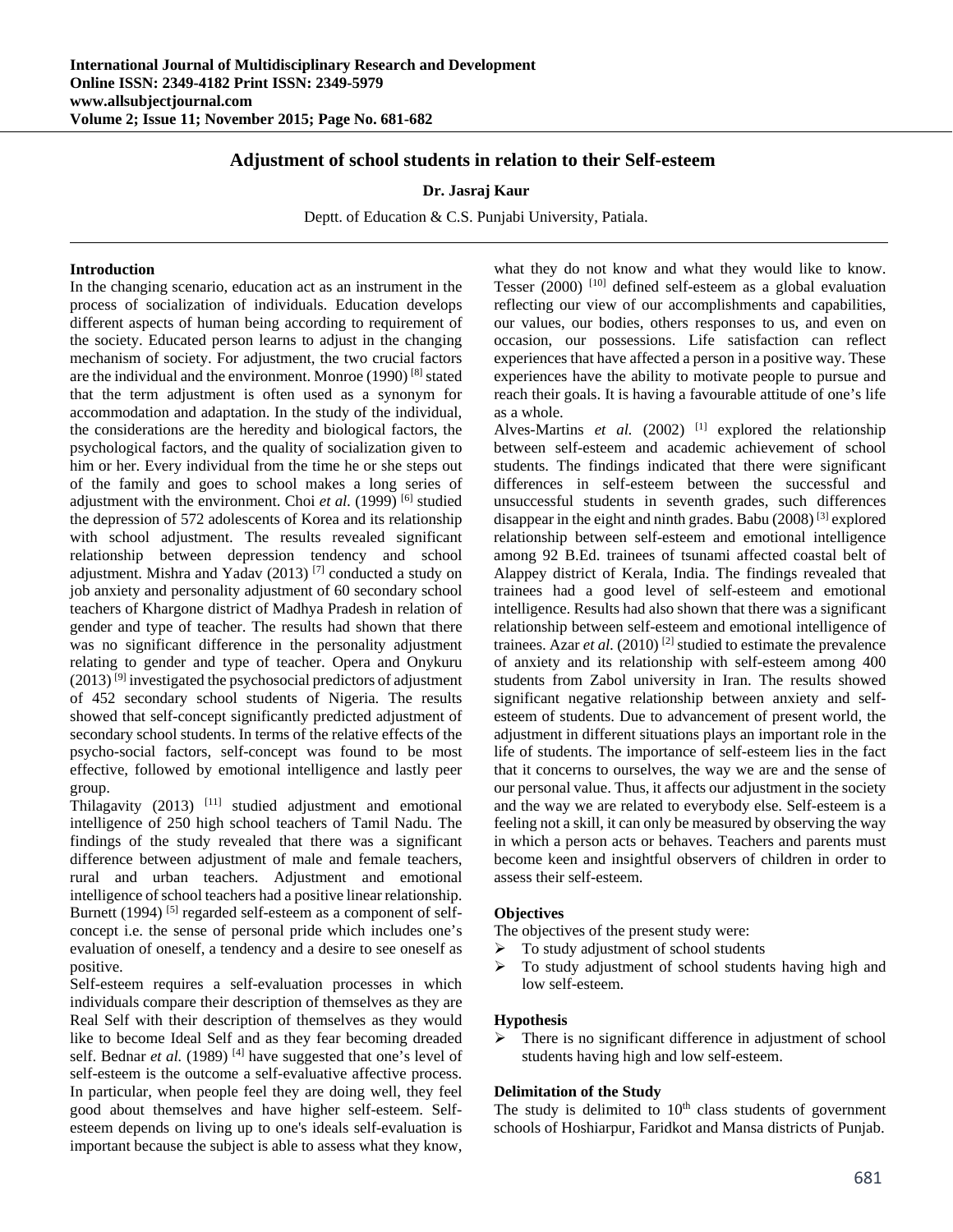# **Adjustment of school students in relation to their Self-esteem**

### **Dr. Jasraj Kaur**

Deptt. of Education & C.S. Punjabi University, Patiala.

### **Introduction**

In the changing scenario, education act as an instrument in the process of socialization of individuals. Education develops different aspects of human being according to requirement of the society. Educated person learns to adjust in the changing mechanism of society. For adjustment, the two crucial factors are the individual and the environment. Monroe (1990) [8] stated that the term adjustment is often used as a synonym for accommodation and adaptation. In the study of the individual, the considerations are the heredity and biological factors, the psychological factors, and the quality of socialization given to him or her. Every individual from the time he or she steps out of the family and goes to school makes a long series of adjustment with the environment. Choi *et al.* (1999)<sup>[6]</sup> studied the depression of 572 adolescents of Korea and its relationship with school adjustment. The results revealed significant relationship between depression tendency and school adjustment. Mishra and Yadav (2013) [7] conducted a study on job anxiety and personality adjustment of 60 secondary school teachers of Khargone district of Madhya Pradesh in relation of gender and type of teacher. The results had shown that there was no significant difference in the personality adjustment relating to gender and type of teacher. Opera and Onykuru  $(2013)$ <sup>[9]</sup> investigated the psychosocial predictors of adjustment of 452 secondary school students of Nigeria. The results showed that self-concept significantly predicted adjustment of secondary school students. In terms of the relative effects of the psycho-social factors, self-concept was found to be most effective, followed by emotional intelligence and lastly peer group.

Thilagavity  $(2013)$ <sup>[11]</sup> studied adjustment and emotional intelligence of 250 high school teachers of Tamil Nadu. The findings of the study revealed that there was a significant difference between adjustment of male and female teachers, rural and urban teachers. Adjustment and emotional intelligence of school teachers had a positive linear relationship. Burnett (1994)<sup>[5]</sup> regarded self-esteem as a component of selfconcept i.e. the sense of personal pride which includes one's evaluation of oneself, a tendency and a desire to see oneself as positive.

Self-esteem requires a self-evaluation processes in which individuals compare their description of themselves as they are Real Self with their description of themselves as they would like to become Ideal Self and as they fear becoming dreaded self. Bednar et al. (1989)<sup>[4]</sup> have suggested that one's level of self-esteem is the outcome a self-evaluative affective process. In particular, when people feel they are doing well, they feel good about themselves and have higher self-esteem. Selfesteem depends on living up to one's ideals self-evaluation is important because the subject is able to assess what they know,

what they do not know and what they would like to know. Tesser  $(2000)$ <sup>[10]</sup> defined self-esteem as a global evaluation reflecting our view of our accomplishments and capabilities, our values, our bodies, others responses to us, and even on occasion, our possessions. Life satisfaction can reflect experiences that have affected a person in a positive way. These experiences have the ability to motivate people to pursue and reach their goals. It is having a favourable attitude of one's life as a whole.

Alves-Martins *et al.* (2002) <sup>[1]</sup> explored the relationship between self-esteem and academic achievement of school students. The findings indicated that there were significant differences in self-esteem between the successful and unsuccessful students in seventh grades, such differences disappear in the eight and ninth grades. Babu (2008) [3] explored relationship between self-esteem and emotional intelligence among 92 B.Ed. trainees of tsunami affected coastal belt of Alappey district of Kerala, India. The findings revealed that trainees had a good level of self-esteem and emotional intelligence. Results had also shown that there was a significant relationship between self-esteem and emotional intelligence of trainees. Azar *et al.* (2010)<sup>[2]</sup> studied to estimate the prevalence of anxiety and its relationship with self-esteem among 400 students from Zabol university in Iran. The results showed significant negative relationship between anxiety and selfesteem of students. Due to advancement of present world, the adjustment in different situations plays an important role in the life of students. The importance of self-esteem lies in the fact that it concerns to ourselves, the way we are and the sense of our personal value. Thus, it affects our adjustment in the society and the way we are related to everybody else. Self-esteem is a feeling not a skill, it can only be measured by observing the way in which a person acts or behaves. Teachers and parents must become keen and insightful observers of children in order to assess their self-esteem.

#### **Objectives**

The objectives of the present study were:

- To study adjustment of school students
- $\triangleright$  To study adjustment of school students having high and low self-esteem.

#### **Hypothesis**

 $\triangleright$  There is no significant difference in adjustment of school students having high and low self-esteem.

#### **Delimitation of the Study**

The study is delimited to  $10<sup>th</sup>$  class students of government schools of Hoshiarpur, Faridkot and Mansa districts of Punjab.